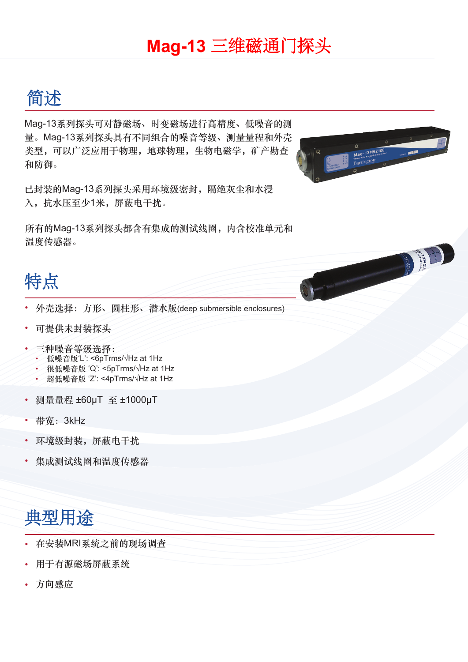### 简述

Mag-13系列探头可对静磁场、时变磁场进行高精度、低噪音的测 量。Mag-13系列探头具有不同组合的噪音等级、测量量程和外壳 类型,可以广泛应用于物理,地球物理,生物电磁学,矿产勘查 和防御。

已封装的Mag-13系列探头采用环境级密封,隔绝灰尘和水浸 入,抗水压至少1米,屏蔽电干扰。

所有的Mag-13系列探头都含有集成的测试线圈,内含校准单元和 温度传感器。



William North

## 特点

- 外壳选择:方形、圆柱形、潜水版(deep submersible enclosures)
- 可提供未封装探头
- 三种噪音等级选择:
	- 低噪音版'L': <6pTrms/√Hz at 1Hz
	- 很低噪音版 'Q': <5pTrms/√Hz at 1Hz
	- 超低噪音版 'Z': <4pTrms/√Hz at 1Hz
- 测量量程 ±60μT 至 ±1000μT
- 带宽: 3kHz
- 环境级封装,屏蔽电干扰
- 集成测试线圈和温度传感器

## 典型用途

- 在安装MRI系统之前的现场调查
- 用于有源磁场屏蔽系统
- 方向感应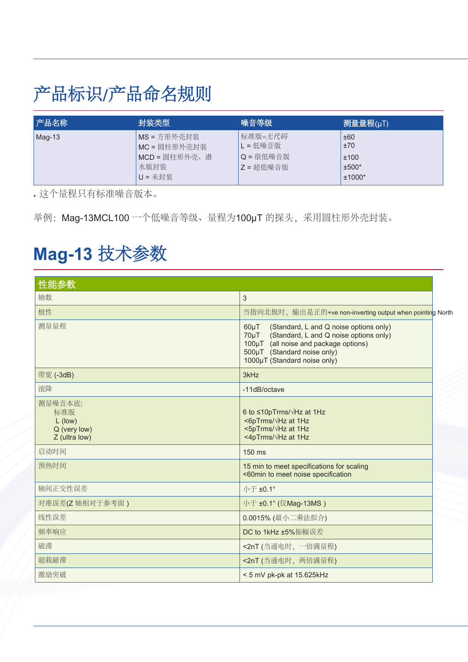# 产品标识/产品命名规则

| 产品名称     | 封装类型                                                              | 噪音等级                                          | 测量量程(µT)                                  |
|----------|-------------------------------------------------------------------|-----------------------------------------------|-------------------------------------------|
| $Mag-13$ | MS = 方形外壳封装<br>MC = 圆柱形外壳封装<br>  MCD = 圆柱形外壳、潜<br>水版封装<br>U = 未封装 | 标准版=无代码<br>L = 低噪音版<br>Q = 很低噪音版<br>Z = 超低噪音版 | ±60<br>±70<br>±100<br>$±500*$<br>$±1000*$ |

\* 这个量程只有标准噪音版本。

举例: Mag-13MCL100 一个低噪音等级、量程为100μT 的探头,采用圆柱形外壳封装。

## **Mag-13** 技术参数

| 性能参数                                                         |                                                                                                                                                                                                                      |
|--------------------------------------------------------------|----------------------------------------------------------------------------------------------------------------------------------------------------------------------------------------------------------------------|
| 轴数                                                           | 3                                                                                                                                                                                                                    |
| 极性                                                           | 当指向北极时,输出是正的+ve non-inverting output when pointing North                                                                                                                                                             |
| 测量量程                                                         | $60 \mu T$<br>(Standard, L and Q noise options only)<br>(Standard, L and Q noise options only)<br>$70 \mu T$<br>100µT (all noise and package options)<br>500µT (Standard noise only)<br>1000µT (Standard noise only) |
| 带宽 (-3dB)                                                    | 3kHz                                                                                                                                                                                                                 |
| 滚降                                                           | -11dB/octave                                                                                                                                                                                                         |
| 测量噪音本底:<br>标准版<br>$L$ (low)<br>Q (very low)<br>Z (ultra low) | 6 to ≤10pTrms/√Hz at 1Hz<br><6pTrms/ $\sqrt{Hz}$ at 1Hz<br><5pTrms/ $\sqrt{Hz}$ at 1Hz<br><4pTrms/ $\sqrt{Hz}$ at 1Hz                                                                                                |
| 启动时间                                                         | 150 ms                                                                                                                                                                                                               |
| 预热时间                                                         | 15 min to meet specifications for scaling<br><60min to meet noise specification                                                                                                                                      |
| 轴间正交性误差                                                      | 小于 ±0.1°                                                                                                                                                                                                             |
| 对准误差(Z 轴相对于参考面)                                              | 小于 ±0.1° (仅Mag-13MS)                                                                                                                                                                                                 |
| 线性误差                                                         | 0.0015% (最小二乘法拟合)                                                                                                                                                                                                    |
| 频率响应                                                         | DC to 1kHz ±5%振幅误差                                                                                                                                                                                                   |
| 磁滞                                                           | <2nT (当通电时, 一倍满量程)                                                                                                                                                                                                   |
| 超载磁滞                                                         | <2nT (当通电时, 两倍满量程)                                                                                                                                                                                                   |
| 激励突破                                                         | < 5 mV pk-pk at 15.625kHz                                                                                                                                                                                            |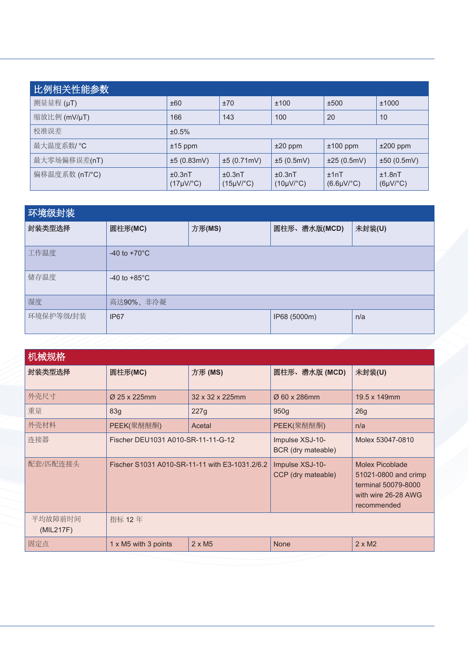| 比例相关性能参数       |                                |                          |                                |                                             |                               |
|----------------|--------------------------------|--------------------------|--------------------------------|---------------------------------------------|-------------------------------|
| 测量量程 (µT)      | ±60                            | ±70                      | ±100                           | ±500                                        | ±1000                         |
| 缩放比例 (mV/µT)   | 166                            | 143                      | 100                            | 20                                          | 10                            |
| 校准误差           | ±0.5%                          |                          |                                |                                             |                               |
| 最大温度系数/°C      | $±15$ ppm                      |                          | $±20$ ppm                      | $±100$ ppm                                  | $±200$ ppm                    |
| 最大零场偏移误差(nT)   | ±5(0.83mV)                     | ±5(0.71mV)               | ±5(0.5mV)                      | ±25(0.5mV)                                  | ±50(0.5mV)                    |
| 偏移温度系数 (nT/°C) | ±0.3nT<br>$(17\mu V)^{\circ}C$ | ±0.3nT<br>$(15\mu V$ °C) | ±0.3nT<br>$(10\mu V)^{\circ}C$ | ±1nT<br>$(6.6\mu\text{V}/^{\circ}\text{C})$ | ±1.8nT<br>$(6\mu V)^{\circ}C$ |

| 环境级封装     |                        |        |              |        |
|-----------|------------------------|--------|--------------|--------|
| 封装类型选择    | 圆柱形(MC)                | 方形(MS) | 圆柱形、潜水版(MCD) | 未封装(U) |
| 工作温度      | -40 to $+70^{\circ}$ C |        |              |        |
| 储存温度      | -40 to $+85^{\circ}$ C |        |              |        |
| 湿度        | 高达90%, 非冷凝             |        |              |        |
| 环境保护等级/封装 | IP67                   |        | IP68 (5000m) | n/a    |

| 机械规格                 |                                                |                 |                                       |                                                                                                             |
|----------------------|------------------------------------------------|-----------------|---------------------------------------|-------------------------------------------------------------------------------------------------------------|
| 封装类型选择               | 圆柱形(MC)                                        | 方形 (MS)         | 圆柱形、潜水版 (MCD)                         | 未封装(U)                                                                                                      |
| 外壳尺寸                 | Ø 25 x 225mm                                   | 32 x 32 x 225mm | Ø 60 x 286mm                          | 19.5 x 149mm                                                                                                |
| 重量                   | 83g                                            | 227g            | 950g                                  | 26g                                                                                                         |
| 外壳材料                 | PEEK(聚醚醚酮)                                     | Acetal          | PEEK(聚醚醚酮)                            | n/a                                                                                                         |
| 连接器                  | Fischer DEU1031 A010-SR-11-11-G-12             |                 | Impulse XSJ-10-<br>BCR (dry mateable) | Molex 53047-0810                                                                                            |
| 配套/匹配连接头             | Fischer S1031 A010-SR-11-11 with E3-1031.2/6.2 |                 | Impulse XSJ-10-<br>CCP (dry mateable) | <b>Molex Picoblade</b><br>51021-0800 and crimp<br>terminal 50079-8000<br>with wire 26-28 AWG<br>recommended |
| 平均故障前时间<br>(MIL217F) | 指标 12年                                         |                 |                                       |                                                                                                             |
| 固定点                  | 1 x M5 with 3 points                           | $2 \times M5$   | <b>None</b>                           | $2 \times M2$                                                                                               |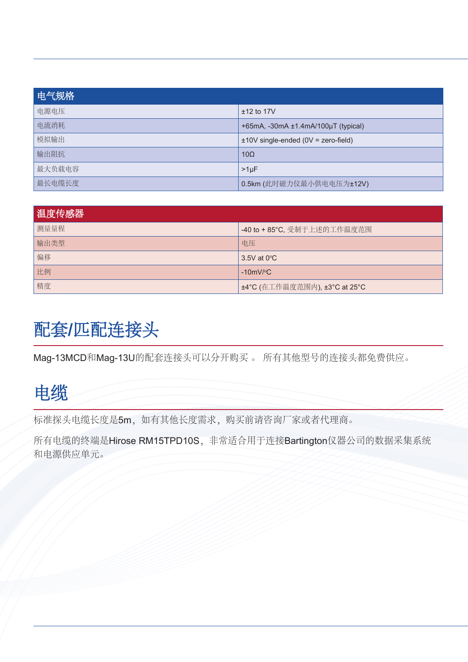| 电气规格   |                                                |
|--------|------------------------------------------------|
| 电源电压   | $±12$ to 17V                                   |
| 电流消耗   | $+65mA$ , $-30mA \pm 1.4mA/100\mu T$ (typical) |
| 模拟输出   | $±10V$ single-ended (0V = zero-field)          |
| 输出阻抗   | $10\Omega$                                     |
| 最大负载电容 | $>1\mu$ F                                      |
| 最长电缆长度 | 0.5km (此时磁力仪最小供电电压为±12V)                       |

| 温度传感器 |                               |
|-------|-------------------------------|
| 测量量程  | -40 to + 85°C, 受制于上述的工作温度范围   |
| 输出类型  | 电压                            |
| 偏移    | $3.5V$ at 0 $^{\circ}$ C      |
| 比例    | $-10mV$ <sup>o</sup> C        |
| 精度    | ±4°C (在工作温度范围内), ±3°C at 25°C |

# 配套**/**匹配连接头

Mag-13MCD和Mag-13U的配套连接头可以分开购买 。 所有其他型号的连接头都免费供应。

## 电缆

标准探头电缆长度是5m,如有其他长度需求,购买前请咨询厂家或者代理商。

所有电缆的终端是Hirose RM15TPD10S,非常适合用于连接Bartington仪器公司的数据采集系统 和电源供应单元。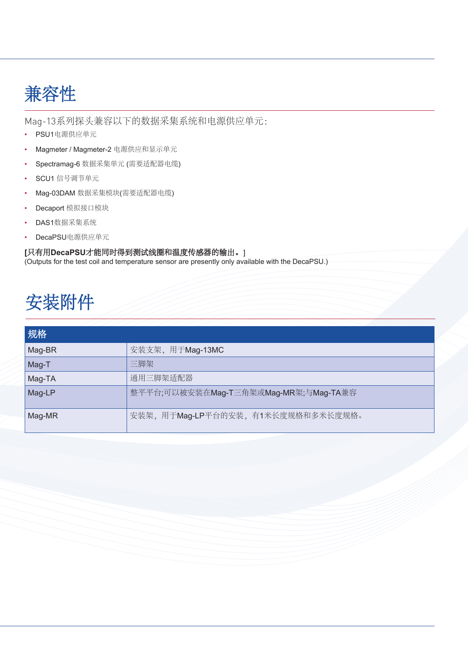## 兼容性

Mag-13系列探头兼容以下的数据采集系统和电源供应单元:

- PSU1电源供应单元
- Magmeter / Magmeter-2 电源供应和显示单元
- Spectramag-6 数据采集单元 (需要适配器电缆)
- SCU1 信号调节单元
- Mag-03DAM 数据采集模块(需要适配器电缆)
- Decaport 模拟接口模块
- DAS1数据采集系统
- **DecaPSU**电源供应单元

### **[**只有用**DecaPSU**才能同时得到测试线圈和温度传感器的输出。]

(Outputs for the test coil and temperature sensor are presently only available with the DecaPSU.)

# 安装附件

| 规格     |                                       |
|--------|---------------------------------------|
| Mag-BR | 安装支架, 用于Mag-13MC                      |
| Mag-T  | 三脚架                                   |
| Mag-TA | 通用三脚架适配器                              |
| Mag-LP | 整平平台;可以被安装在Mag-T三角架或Mag-MR架;与Mag-TA兼容 |
| Mag-MR | 安装架, 用于Mag-LP平台的安装, 有1米长度规格和多米长度规格。   |